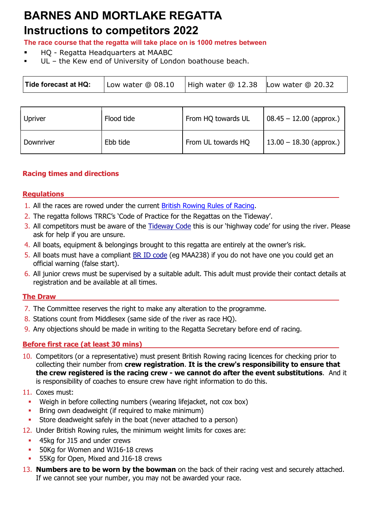# BARNES AND MORTLAKE REGATTA

# Instructions to competitors 2017 Instructions to competitors 2022

The race course that the regatta will take place on is 1000 metres between The race course that the regatta will take place on is 1000 metres between

- HQ Regatta Headquarters at MAABC HQ Regatta Headquarters at MAABC
- UL the Kew end of University of London boathouse beach.

| Tide forecast at HQ:<br>High water $@12.38$ Low water $@20.32$<br>Low water @ 08.10 |
|-------------------------------------------------------------------------------------|
|-------------------------------------------------------------------------------------|

| <b>Upriver</b> | Flood tide | From HQ towards UL | $08.45 - 12.00$ (approx.) |
|----------------|------------|--------------------|---------------------------|
| Downriver      | Ebb tide   | From UL towards HQ | $13.00 - 18.30$ (approx.) |

## Racing times and directions

### **Regulations**

- 1. All the races are rowed under the current British Rowing Rules of Racing.
- 2. The regatta follows TRRC's 'Code of Practice for the Regattas on the Tideway'.
- 3. All competitors must be aware of the Tideway Code this is our 'highway code' for using the river. Please ask for help if you are unsure.
- 4. All boats, equipment & belongings brought to this regatta are entirely at the owner's risk.
- 5. All boats must have a compliant **BR ID code** (eg MAA238) if you do not have one you could get an official warning (false start).
- 6. All junior crews must be supervised by a suitable adult. This adult must provide their contact details at registration and be available at all times.

# The Draw

- 7. The Committee reserves the right to make any alteration to the programme.
- 8. Stations count from Middlesex (same side of the river as race HQ).
- 9. Any objections should be made in writing to the Regatta Secretary before end of racing.

# Before first race (at least 30 mins)

10. Competitors (or a representative) must present British Rowing racing licences for checking prior to collecting their number from crew registration. It is the crew's responsibility to ensure that the crew registered is the racing crew - we cannot do after the event substitutions. And it is responsibility of coaches to ensure crew have right information to do this.

### 11. Coxes must:

- Weigh in before collecting numbers (wearing lifejacket, not cox box)
- **Bring own deadweight (if required to make minimum)**
- Store deadweight safely in the boat (never attached to a person)
- 12. Under British Rowing rules, the minimum weight limits for coxes are:
	- **45kg for J15 and under crews**
	- **50Kg for Women and WJ16-18 crews**
	- 55Kg for Open, Mixed and J16-18 crews
- 13. Numbers are to be worn by the bowman on the back of their racing vest and securely attached. If we cannot see your number, you may not be awarded your race.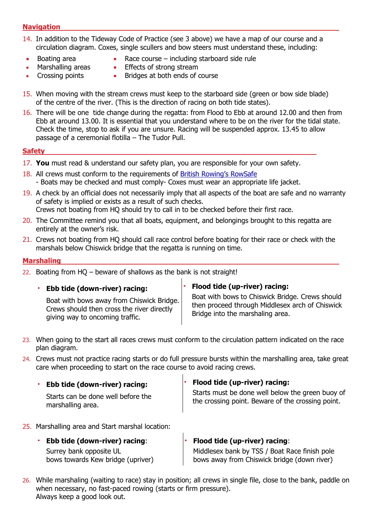#### **Navigation**

- 14. In addition to the Tideway Code of Practice (see 3 above) we have a map of our course and a circulation diagram. Coxes, single scullers and bow steers must understand these, including:
- Boating area
- Race course including starboard side rule
- Marshalling areas
- **•** Effects of strong stream
- Crossing points
- Bridges at both ends of course
- 15. When moving with the stream crews must keep to the starboard side (green or bow side blade) of the centre of the river. (This is the direction of racing on both tide states).
- 16. There will be one tide change during the regatta: from Flood to Ebb at around 12.00 and then from Ebb at around 13.00. It is essential that you understand where to be on the river for the tidal state. Check the time, stop to ask if you are unsure. Racing will be suspended approx. 13.45 to allow passage of a ceremonial flotilla – The Tudor Pull.

#### **Safety**

- 17. You must read & understand our safety plan, you are responsible for your own safety.
- 18. All crews must conform to the requirements of British Rowing's RowSafe - Boats may be checked and must comply- Coxes must wear an appropriate life jacket.
- 19. A check by an official does not necessarily imply that all aspects of the boat are safe and no warranty of safety is implied or exists as a result of such checks. Crews not boating from HQ should try to call in to be checked before their first race.
- 20. The Committee remind you that all boats, equipment, and belongings brought to this regatta are entirely at the owner's risk.
- 21. Crews not boating from HQ should call race control before boating for their race or check with the marshals below Chiswick bridge that the regatta is running on time.

 $\mathbf{I}$ 

#### Marshaling

22. Boating from  $HO -$  beware of shallows as the bank is not straight!

| Ebb tide (down-river) racing:                                                                                              | <b>Flood tide (up-river) racing:</b>                                                                                                   |
|----------------------------------------------------------------------------------------------------------------------------|----------------------------------------------------------------------------------------------------------------------------------------|
| Boat with bows away from Chiswick Bridge.<br>Crews should then cross the river directly<br>giving way to oncoming traffic. | Boat with bows to Chiswick Bridge. Crews should<br>then proceed through Middlesex arch of Chiswick<br>Bridge into the marshaling area. |

- 23. When going to the start all races crews must conform to the circulation pattern indicated on the race plan diagram.
- 24. Crews must not practice racing starts or do full pressure bursts within the marshalling area, take great care when proceeding to start on the race course to avoid racing crews.

 $\overline{1}$ 

| Ebb tide (down-river) racing:                           | $\cdot$ Flood tide (up-river) racing:                                                                 |
|---------------------------------------------------------|-------------------------------------------------------------------------------------------------------|
| Starts can be done well before the<br>marshalling area. | Starts must be done well below the green buoy of<br>the crossing point. Beware of the crossing point. |

- 25. Marshalling area and Start marshal location:
	- Ebb tide (down-river) racing: Surrey bank opposite UL bows towards Kew bridge (upriver) • Flood tide (up-river) racing: Middlesex bank by TSS / Boat Race finish pole bows away from Chiswick bridge (down river)
- 26. While marshaling (waiting to race) stay in position; all crews in single file, close to the bank, paddle on when necessary, no fast-paced rowing (starts or firm pressure). Always keep a good look out.